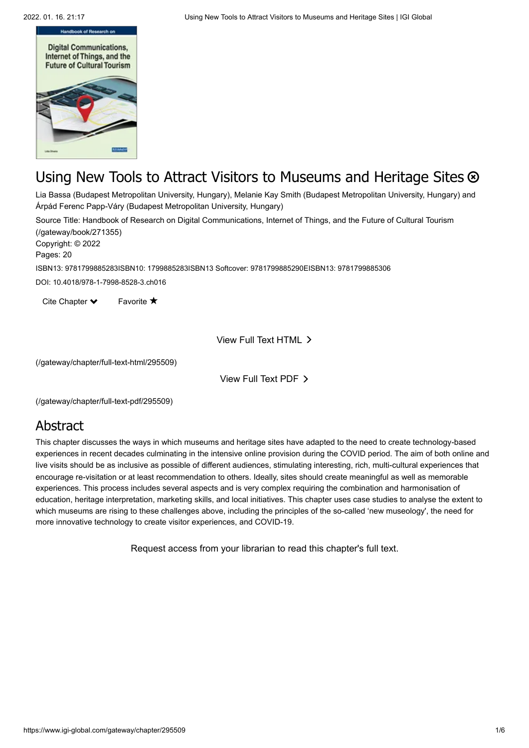

# Using New Tools to Attract Visitors to Museums and Heritage Sites  $\otimes$

Lia Bassa (Budapest Metropolitan University, Hungary), Melanie Kay Smith (Budapest Metropolitan University, Hungary) and Árpád Ferenc Papp-Váry (Budapest Metropolitan University, Hungary)

[Source Title: Handbook of Research on Digital Communications, Internet of Things, and the Future of Cultural Tourism](https://www.igi-global.com/gateway/book/271355) (/gateway/book/271355)

Copyright: © 2022

Pages: 20

ISBN13: 9781799885283ISBN10: 1799885283ISBN13 Softcover: 9781799885290EISBN13: 9781799885306

DOI: 10.4018/978-1-7998-8528-3.ch016

Cite Chapter  $\blacktriangleright$ Favorite  $\bigstar$ 

View Full Text HTML

[\(/gateway/chapter/full-text-html/295509\)](https://www.igi-global.com/gateway/chapter/full-text-html/295509)

View Full Text PDF

[\(/gateway/chapter/full-text-pdf/295509\)](https://www.igi-global.com/gateway/chapter/full-text-pdf/295509)

### Abstract

This chapter discusses the ways in which museums and heritage sites have adapted to the need to create technology-based experiences in recent decades culminating in the intensive online provision during the COVID period. The aim of both online and live visits should be as inclusive as possible of different audiences, stimulating interesting, rich, multi-cultural experiences that encourage re-visitation or at least recommendation to others. Ideally, sites should create meaningful as well as memorable experiences. This process includes several aspects and is very complex requiring the combination and harmonisation of education, heritage interpretation, marketing skills, and local initiatives. This chapter uses case studies to analyse the extent to which museums are rising to these challenges above, including the principles of the so-called 'new museology', the need for more innovative technology to create visitor experiences, and COVID-19.

Request access from your librarian to read this chapter's full text.